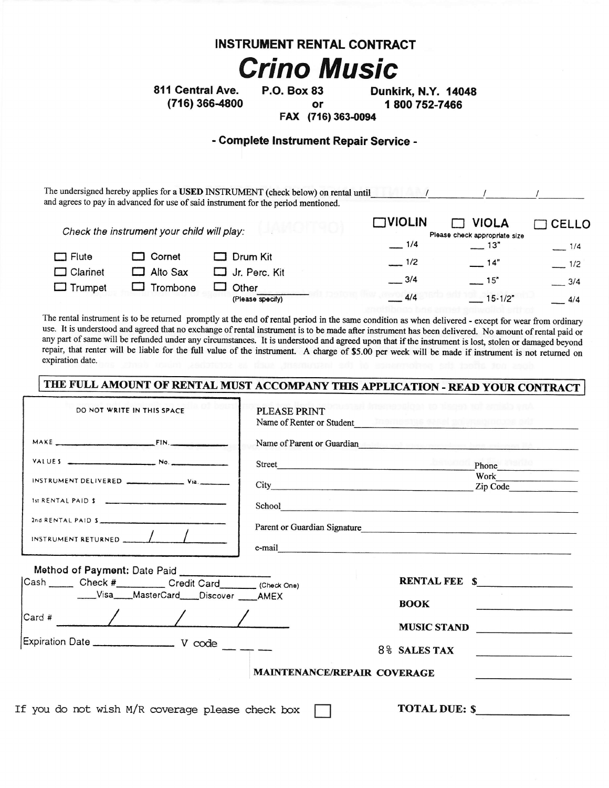#### **INSTRUMENT RENTAL CONTRACT**

# **Crino Music**

811 Central Ave. (716) 366-4800 **P.O. Box 83** or

Dunkirk, N.Y. 14048 1800 752-7466

FAX (716) 363-0094

#### - Complete Instrument Repair Service -

The undersigned hereby applies for a USED INSTRUMENT (check below) on rental until 11 1 and agrees to pay in advanced for use of said instrument for the period mentioned.

|                                            |          |                  | $\square$ VIOLIN              | <b>VIOLA</b> | CELLO  |
|--------------------------------------------|----------|------------------|-------------------------------|--------------|--------|
| Check the instrument your child will play: |          |                  | Please check appropriate size |              |        |
|                                            |          |                  | 1/4                           | $-13"$       | 1/4    |
| $\Box$ Flute                               | l Cornet | Drum Kit         | $-1/2$                        | $-14"$       | $-1/2$ |
| $\Box$ Clarinet                            | Alto Sax | Jr. Perc. Kit    | $-3/4$                        | $-15"$       | 3/4    |
| $\Box$ Trumpet                             | Trombone | Other            |                               |              |        |
|                                            |          | (Please specify) | 4/4                           | $15-1/2"$    | 4/4    |

The rental instrument is to be returned promptly at the end of rental period in the same condition as when delivered - except for wear from ordinary use. It is understood and agreed that no exchange of rental instrument is to be made after instrument has been delivered. No amount of rental paid or any part of same will be refunded under any circumstances. It is understood and agreed upon that if the instrument is lost, stolen or damaged beyond repair, that renter will be liable for the full value of the instrument. A charge of \$5.00 per week will be made if instrument is not returned on expiration date.

## THE FULL AMOUNT OF RENTAL MUST ACCOMPANY THIS APPLICATION - READ YOUR CONTRACT

| DO NOT WRITE IN THIS SPACE                                                                                                 | <b>PLEASE PRINT</b><br>Name of Renter or Student |                                                                                                                                                                                                                                                                                                                                                                                                                                                                                                  |
|----------------------------------------------------------------------------------------------------------------------------|--------------------------------------------------|--------------------------------------------------------------------------------------------------------------------------------------------------------------------------------------------------------------------------------------------------------------------------------------------------------------------------------------------------------------------------------------------------------------------------------------------------------------------------------------------------|
| MAKE FIN.                                                                                                                  |                                                  | Name of Parent or Guardian <b>Executive Contract of Contract Contract Contract Contract Contract Contract Contract Contract Contract Contract Contract Contract Contract Contract Contract Contract Contract Contract Contract C</b>                                                                                                                                                                                                                                                             |
| VALUES $\overline{\phantom{a}}$ No.                                                                                        | Street                                           | Phone<br>Work                                                                                                                                                                                                                                                                                                                                                                                                                                                                                    |
| 1st RENTAL PAID \$<br>2nd RENTAL PAID S<br>INSTRUMENT RETURNED                                                             |                                                  | School and the state of the state of the state of the state of the state of the state of the state of the state of the state of the state of the state of the state of the state of the state of the state of the state of the<br>Parent or Guardian Signature<br>e-mail expression and the contract of the contract of the contract of the contract of the contract of the contract of the contract of the contract of the contract of the contract of the contract of the contract of the cont |
| Method of Payment: Date Paid<br>____Visa____MasterCard____Discover ____AMEX<br>$\sqrt{2\arctan\left(\frac{1}{2}\right)^2}$ |                                                  | RENTAL FEE \$<br><b>BOOK</b><br>MUSIC STAND                                                                                                                                                                                                                                                                                                                                                                                                                                                      |
|                                                                                                                            | MAINTENANCE/REPAIR COVERAGE                      | 8% SALES TAX                                                                                                                                                                                                                                                                                                                                                                                                                                                                                     |
| f you do not wish $M/R$ coverage please check boy                                                                          |                                                  | <b>TOTAL DIE: S</b>                                                                                                                                                                                                                                                                                                                                                                                                                                                                              |

If you do not wish M/R coverage please cneck box